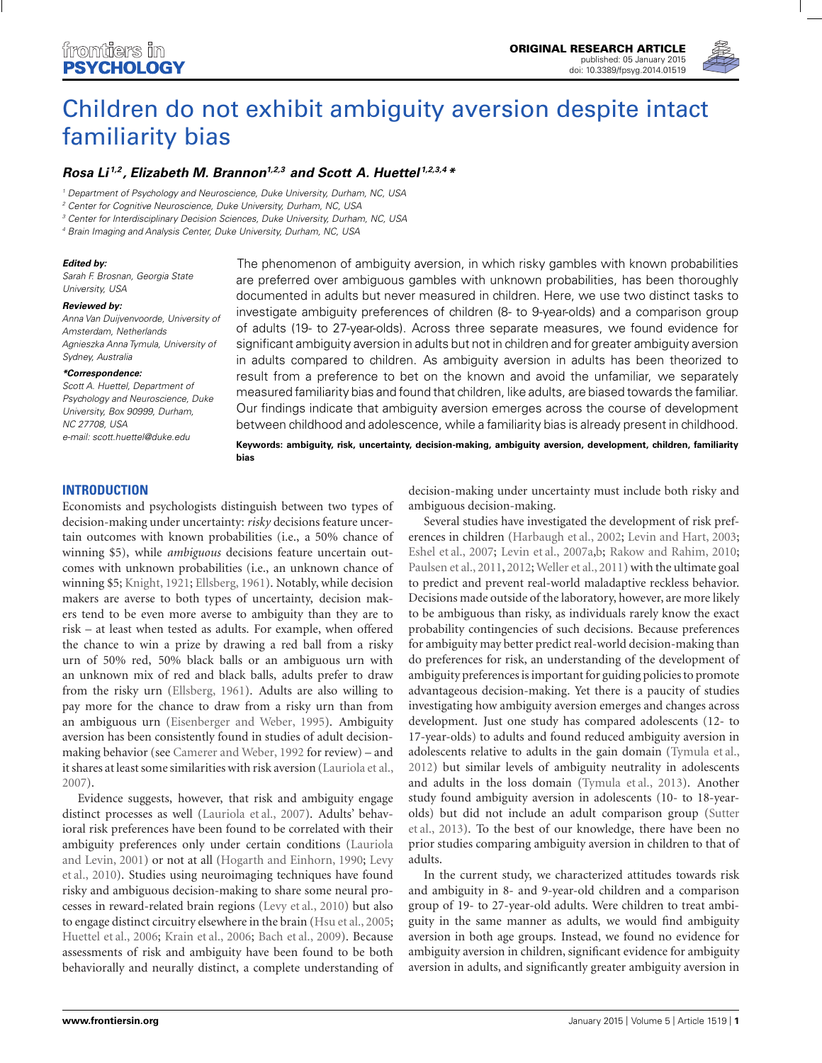

# [Children do not exhibit ambiguity aversion despite intact](http://www.frontiersin.org/Journal/10.3389/fpsyg.2014.01519/abstract) familiarity bias

# *[Rosa Li](http://community.frontiersin.org/people/u/186492) 1,2 , [Elizabeth M. Brannon1,2,3](http://community.frontiersin.org/people/u/7338) and [Scott A. Huettel](http://community.frontiersin.org/people/u/411) 1,2,3,4 \**

<sup>1</sup> Department of Psychology and Neuroscience, Duke University, Durham, NC, USA

<sup>2</sup> Center for Cognitive Neuroscience, Duke University, Durham, NC, USA

<sup>3</sup> Center for Interdisciplinary Decision Sciences, Duke University, Durham, NC, USA

<sup>4</sup> Brain Imaging and Analysis Center, Duke University, Durham, NC, USA

#### *Edited by:*

Sarah F. Brosnan, Georgia State University, USA

#### *Reviewed by:*

Anna Van Duijvenvoorde, University of Amsterdam, Netherlands Agnieszka Anna Tymula, University of Sydney, Australia

#### *\*Correspondence:*

Scott A. Huettel, Department of Psychology and Neuroscience, Duke University, Box 90999, Durham, NC 27708, USA e-mail: [scott.huettel@duke.edu](mailto:scott.huettel@duke.edu)

The phenomenon of ambiguity aversion, in which risky gambles with known probabilities are preferred over ambiguous gambles with unknown probabilities, has been thoroughly documented in adults but never measured in children. Here, we use two distinct tasks to investigate ambiguity preferences of children (8- to 9-year-olds) and a comparison group of adults (19- to 27-year-olds). Across three separate measures, we found evidence for significant ambiguity aversion in adults but not in children and for greater ambiguity aversion in adults compared to children. As ambiguity aversion in adults has been theorized to result from a preference to bet on the known and avoid the unfamiliar, we separately measured familiarity bias and found that children, like adults, are biased towards the familiar. Our findings indicate that ambiguity aversion emerges across the course of development between childhood and adolescence, while a familiarity bias is already present in childhood.

**Keywords: ambiguity, risk, uncertainty, decision-making, ambiguity aversion, development, children, familiarity bias**

## **INTRODUCTION**

Economists and psychologists distinguish between two types of decision-making under uncertainty: *risky* decisions feature uncertain outcomes with known probabilities (i.e., a 50% chance of winning \$5), while *ambiguous* decisions feature uncertain outcomes with unknown probabilities (i.e., an unknown chance of winning \$5; [Knight](#page-6-0), [1921](#page-6-0); [Ellsberg, 1961\)](#page-6-0). Notably, while decision makers are averse to both types of uncertainty, decision makers tend to be even more averse to ambiguity than they are to risk – at least when tested as adults. For example, when offered the chance to win a prize by drawing a red ball from a risky urn of 50% red, 50% black balls or an ambiguous urn with an unknown mix of red and black balls, adults prefer to draw from the risky urn [\(Ellsberg](#page-6-0), [1961\)](#page-6-0). Adults are also willing to pay more for the chance to draw from a risky urn than from an ambiguous urn [\(Eisenberger and Weber, 1995](#page-6-0)). Ambiguity aversion has been consistently found in studies of adult decisionmaking behavior (see [Camerer and Weber](#page-6-0), [1992](#page-6-0) for review) – and it shares at least some similarities with risk aversion [\(Lauriola et al.](#page-7-0), [2007\)](#page-7-0).

Evidence suggests, however, that risk and ambiguity engage distinct processes as well [\(Lauriola et al.](#page-7-0), [2007](#page-7-0)). Adults' behavioral risk preferences have been found to be correlated with their ambiguit[y preferences only under certain conditions \(](#page-7-0)Lauriola and [Levin, 2001\) or not at all](#page-7-0) [\(Hogarth and Einhorn, 1990](#page-6-0)[;](#page-7-0) Levy et al., [2010\)](#page-7-0). Studies using neuroimaging techniques have found risky and ambiguous decision-making to share some neural processes in reward-related brain regions [\(Levy et al., 2010](#page-7-0)) but also to engage distinct circuitry elsewhere in the brain [\(Hsu et al., 2005;](#page-6-0) [Huettel et al., 2006;](#page-6-0) [Krain et al.](#page-6-0), [2006](#page-6-0); [Bach et al.](#page-6-0), [2009](#page-6-0)). Because assessments of risk and ambiguity have been found to be both behaviorally and neurally distinct, a complete understanding of decision-making under uncertainty must include both risky and ambiguous decision-making.

Several studies have investigated the development of risk preferences in children [\(Harbaugh et al.](#page-6-0), [2002;](#page-6-0) [Levin and Hart](#page-7-0), [2003;](#page-7-0) [Eshel et al., 2007;](#page-6-0) [Levin et al., 2007a,b;](#page-7-0) [Rakow and Rahim, 2010;](#page-7-0) [Paulsen et al.](#page-7-0), [2011](#page-7-0), [2012;](#page-7-0) [Weller et al., 2011\)](#page-7-0) with the ultimate goal to predict and prevent real-world maladaptive reckless behavior. Decisions made outside of the laboratory, however, are more likely to be ambiguous than risky, as individuals rarely know the exact probability contingencies of such decisions. Because preferences for ambiguity may better predict real-world decision-making than do preferences for risk, an understanding of the development of ambiguity preferences is important for guiding policies to promote advantageous decision-making. Yet there is a paucity of studies investigating how ambiguity aversion emerges and changes across development. Just one study has compared adolescents (12- to 17-year-olds) to adults and found reduced ambiguity aversion in adolescents relative to adults in the gain domain [\(Tymula et al.,](#page-7-0) [2012](#page-7-0)) but similar levels of ambiguity neutrality in adolescents and adults in the loss domain [\(Tymula et al.](#page-7-0), [2013\)](#page-7-0). Another study found ambiguity aversion in adolescents (10- to 18-yearolds[\) but did not include an adult comparison group \(](#page-7-0)Sutter et al., [2013](#page-7-0)). To the best of our knowledge, there have been no prior studies comparing ambiguity aversion in children to that of adults.

In the current study, we characterized attitudes towards risk and ambiguity in 8- and 9-year-old children and a comparison group of 19- to 27-year-old adults. Were children to treat ambiguity in the same manner as adults, we would find ambiguity aversion in both age groups. Instead, we found no evidence for ambiguity aversion in children, significant evidence for ambiguity aversion in adults, and significantly greater ambiguity aversion in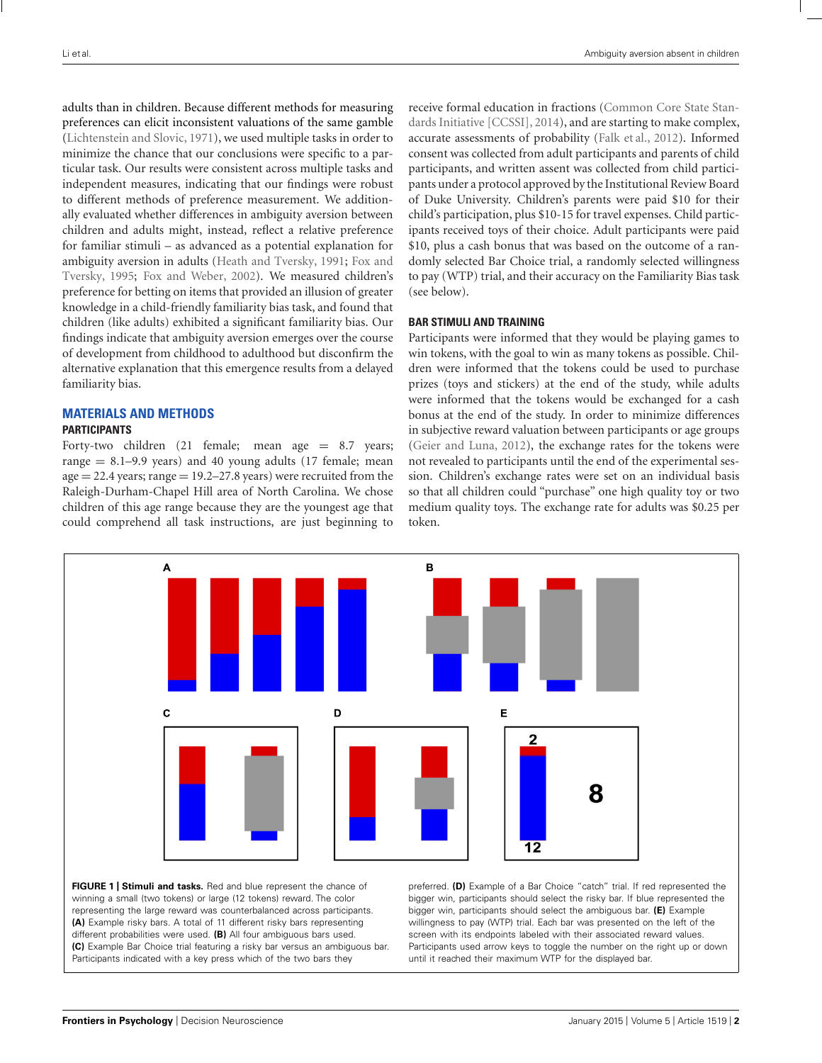<span id="page-1-0"></span>adults than in children. Because different methods for measuring preferences can elicit inconsistent valuations of the same gamble [\(Lichtenstein and Slovic](#page-7-0), [1971](#page-7-0)), we used multiple tasks in order to minimize the chance that our conclusions were specific to a particular task. Our results were consistent across multiple tasks and independent measures, indicating that our findings were robust to different methods of preference measurement. We additionally evaluated whether differences in ambiguity aversion between children and adults might, instead, reflect a relative preference for familiar stimuli – as advanced as a potential explanation for ambigu[ity aversion in adults \(Heath and Tversky, 1991;](#page-6-0) Fox and Tversky, [1995;](#page-6-0) [Fox and Weber](#page-6-0), [2002](#page-6-0)). We measured children's preference for betting on items that provided an illusion of greater knowledge in a child-friendly familiarity bias task, and found that children (like adults) exhibited a significant familiarity bias. Our findings indicate that ambiguity aversion emerges over the course of development from childhood to adulthood but disconfirm the alternative explanation that this emergence results from a delayed familiarity bias.

# **MATERIALS AND METHODS**

# **PARTICIPANTS**

Forty-two children  $(21 \text{ female}; \text{ mean age } = 8.7 \text{ years};$ range  $= 8.1 - 9.9$  years) and 40 young adults (17 female; mean  $age = 22.4$  years; range  $= 19.2 - 27.8$  years) were recruited from the Raleigh-Durham-Chapel Hill area of North Carolina. We chose children of this age range because they are the youngest age that could comprehend all task instructions, are just beginning to receive formal educatio[n in fractions \(](#page-6-0)Common Core State Standards Initiative [CCSSI], [2014\)](#page-6-0), and are starting to make complex, accurate assessments of probability [\(Falk et al.](#page-6-0), [2012](#page-6-0)). Informed consent was collected from adult participants and parents of child participants, and written assent was collected from child participants under a protocol approved by the Institutional Review Board of Duke University. Children's parents were paid \$10 for their child's participation, plus \$10-15 for travel expenses. Child participants received toys of their choice. Adult participants were paid \$10, plus a cash bonus that was based on the outcome of a randomly selected Bar Choice trial, a randomly selected willingness to pay (WTP) trial, and their accuracy on the Familiarity Bias task (see below).

# **BAR STIMULI AND TRAINING**

Participants were informed that they would be playing games to win tokens, with the goal to win as many tokens as possible. Children were informed that the tokens could be used to purchase prizes (toys and stickers) at the end of the study, while adults were informed that the tokens would be exchanged for a cash bonus at the end of the study. In order to minimize differences in subjective reward valuation between participants or age groups [\(Geier and Luna](#page-6-0), [2012\)](#page-6-0), the exchange rates for the tokens were not revealed to participants until the end of the experimental session. Children's exchange rates were set on an individual basis so that all children could "purchase" one high quality toy or two medium quality toys. The exchange rate for adults was \$0.25 per token.



**FIGURE 1 | Stimuli and tasks.** Red and blue represent the chance of winning a small (two tokens) or large (12 tokens) reward. The color representing the large reward was counterbalanced across participants. **(A)** Example risky bars. A total of 11 different risky bars representing different probabilities were used. **(B)** All four ambiguous bars used. **(C)** Example Bar Choice trial featuring a risky bar versus an ambiguous bar. Participants indicated with a key press which of the two bars they

preferred. **(D)** Example of a Bar Choice "catch" trial. If red represented the bigger win, participants should select the risky bar. If blue represented the bigger win, participants should select the ambiguous bar. **(E)** Example willingness to pay (WTP) trial. Each bar was presented on the left of the screen with its endpoints labeled with their associated reward values. Participants used arrow keys to toggle the number on the right up or down until it reached their maximum WTP for the displayed bar.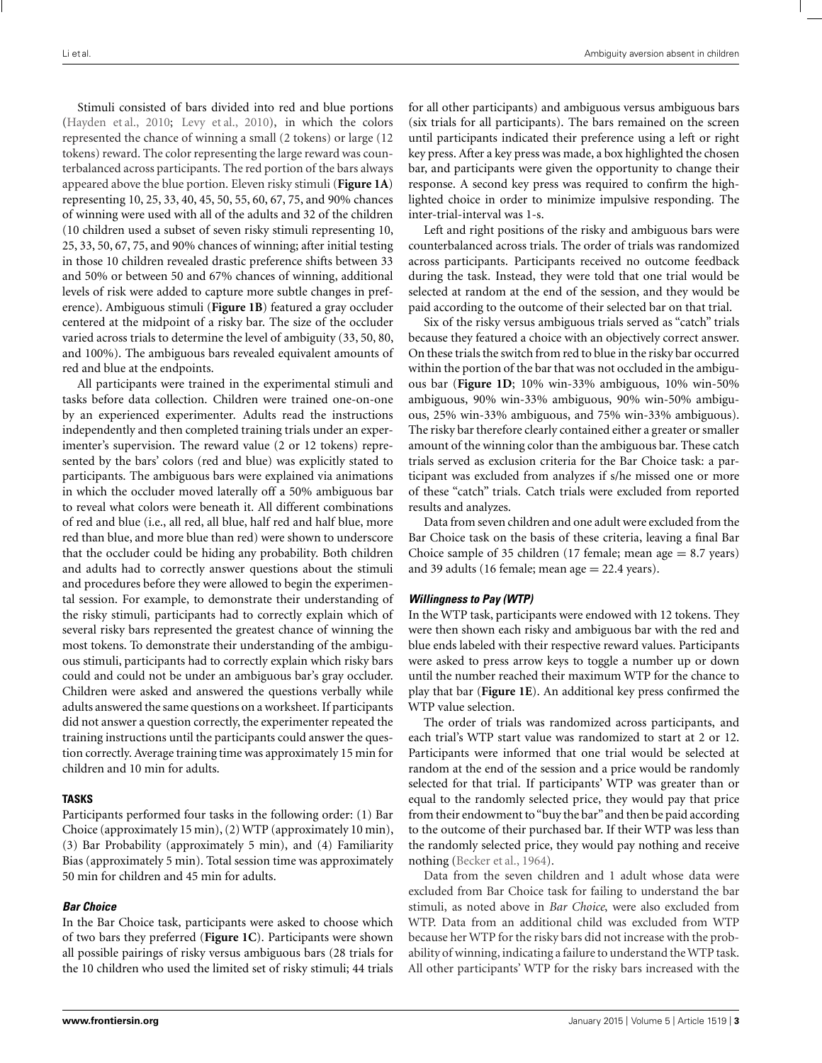Stimuli consisted of bars divided into red and blue portions [\(Hayden et al.](#page-6-0), [2010;](#page-6-0) [Levy et al.](#page-7-0), [2010](#page-7-0)), in which the colors represented the chance of winning a small (2 tokens) or large (12 tokens) reward. The color representing the large reward was counterbalanced across participants. The red portion of the bars always appeared above the blue portion. Eleven risky stimuli (**[Figure 1A](#page-1-0)**) representing 10, 25, 33, 40, 45, 50, 55, 60, 67, 75, and 90% chances of winning were used with all of the adults and 32 of the children (10 children used a subset of seven risky stimuli representing 10, 25, 33, 50, 67, 75, and 90% chances of winning; after initial testing in those 10 children revealed drastic preference shifts between 33 and 50% or between 50 and 67% chances of winning, additional levels of risk were added to capture more subtle changes in preference). Ambiguous stimuli (**[Figure 1B](#page-1-0)**) featured a gray occluder centered at the midpoint of a risky bar. The size of the occluder varied across trials to determine the level of ambiguity (33, 50, 80, and 100%). The ambiguous bars revealed equivalent amounts of red and blue at the endpoints.

All participants were trained in the experimental stimuli and tasks before data collection. Children were trained one-on-one by an experienced experimenter. Adults read the instructions independently and then completed training trials under an experimenter's supervision. The reward value (2 or 12 tokens) represented by the bars' colors (red and blue) was explicitly stated to participants. The ambiguous bars were explained via animations in which the occluder moved laterally off a 50% ambiguous bar to reveal what colors were beneath it. All different combinations of red and blue (i.e., all red, all blue, half red and half blue, more red than blue, and more blue than red) were shown to underscore that the occluder could be hiding any probability. Both children and adults had to correctly answer questions about the stimuli and procedures before they were allowed to begin the experimental session. For example, to demonstrate their understanding of the risky stimuli, participants had to correctly explain which of several risky bars represented the greatest chance of winning the most tokens. To demonstrate their understanding of the ambiguous stimuli, participants had to correctly explain which risky bars could and could not be under an ambiguous bar's gray occluder. Children were asked and answered the questions verbally while adults answered the same questions on a worksheet. If participants did not answer a question correctly, the experimenter repeated the training instructions until the participants could answer the question correctly. Average training time was approximately 15 min for children and 10 min for adults.

#### **TASKS**

Participants performed four tasks in the following order: (1) Bar Choice (approximately 15 min), (2)WTP (approximately 10 min), (3) Bar Probability (approximately 5 min), and (4) Familiarity Bias (approximately 5 min). Total session time was approximately 50 min for children and 45 min for adults.

#### *Bar Choice*

In the Bar Choice task, participants were asked to choose which of two bars they preferred (**[Figure 1C](#page-1-0)**). Participants were shown all possible pairings of risky versus ambiguous bars (28 trials for the 10 children who used the limited set of risky stimuli; 44 trials

for all other participants) and ambiguous versus ambiguous bars (six trials for all participants). The bars remained on the screen until participants indicated their preference using a left or right key press. After a key press was made, a box highlighted the chosen bar, and participants were given the opportunity to change their response. A second key press was required to confirm the highlighted choice in order to minimize impulsive responding. The inter-trial-interval was 1-s.

Left and right positions of the risky and ambiguous bars were counterbalanced across trials. The order of trials was randomized across participants. Participants received no outcome feedback during the task. Instead, they were told that one trial would be selected at random at the end of the session, and they would be paid according to the outcome of their selected bar on that trial.

Six of the risky versus ambiguous trials served as "catch" trials because they featured a choice with an objectively correct answer. On these trials the switch from red to blue in the risky bar occurred within the portion of the bar that was not occluded in the ambiguous bar (**[Figure 1D](#page-1-0)**; 10% win-33% ambiguous, 10% win-50% ambiguous, 90% win-33% ambiguous, 90% win-50% ambiguous, 25% win-33% ambiguous, and 75% win-33% ambiguous). The risky bar therefore clearly contained either a greater or smaller amount of the winning color than the ambiguous bar. These catch trials served as exclusion criteria for the Bar Choice task: a participant was excluded from analyzes if s/he missed one or more of these "catch" trials. Catch trials were excluded from reported results and analyzes.

Data from seven children and one adult were excluded from the Bar Choice task on the basis of these criteria, leaving a final Bar Choice sample of 35 children (17 female; mean age  $= 8.7$  years) and 39 adults (16 female; mean age  $= 22.4$  years).

#### *Willingness to Pay (WTP)*

In the WTP task, participants were endowed with 12 tokens. They were then shown each risky and ambiguous bar with the red and blue ends labeled with their respective reward values. Participants were asked to press arrow keys to toggle a number up or down until the number reached their maximum WTP for the chance to play that bar (**[Figure 1E](#page-1-0)**). An additional key press confirmed the WTP value selection.

The order of trials was randomized across participants, and each trial's WTP start value was randomized to start at 2 or 12. Participants were informed that one trial would be selected at random at the end of the session and a price would be randomly selected for that trial. If participants' WTP was greater than or equal to the randomly selected price, they would pay that price from their endowment to"buy the bar" and then be paid according to the outcome of their purchased bar. If their WTP was less than the randomly selected price, they would pay nothing and receive nothing [\(Becker et al., 1964](#page-6-0)).

Data from the seven children and 1 adult whose data were excluded from Bar Choice task for failing to understand the bar stimuli, as noted above in *Bar Choice*, were also excluded from WTP. Data from an additional child was excluded from WTP because her WTP for the risky bars did not increase with the probability of winning, indicating a failure to understand theWTP task. All other participants' WTP for the risky bars increased with the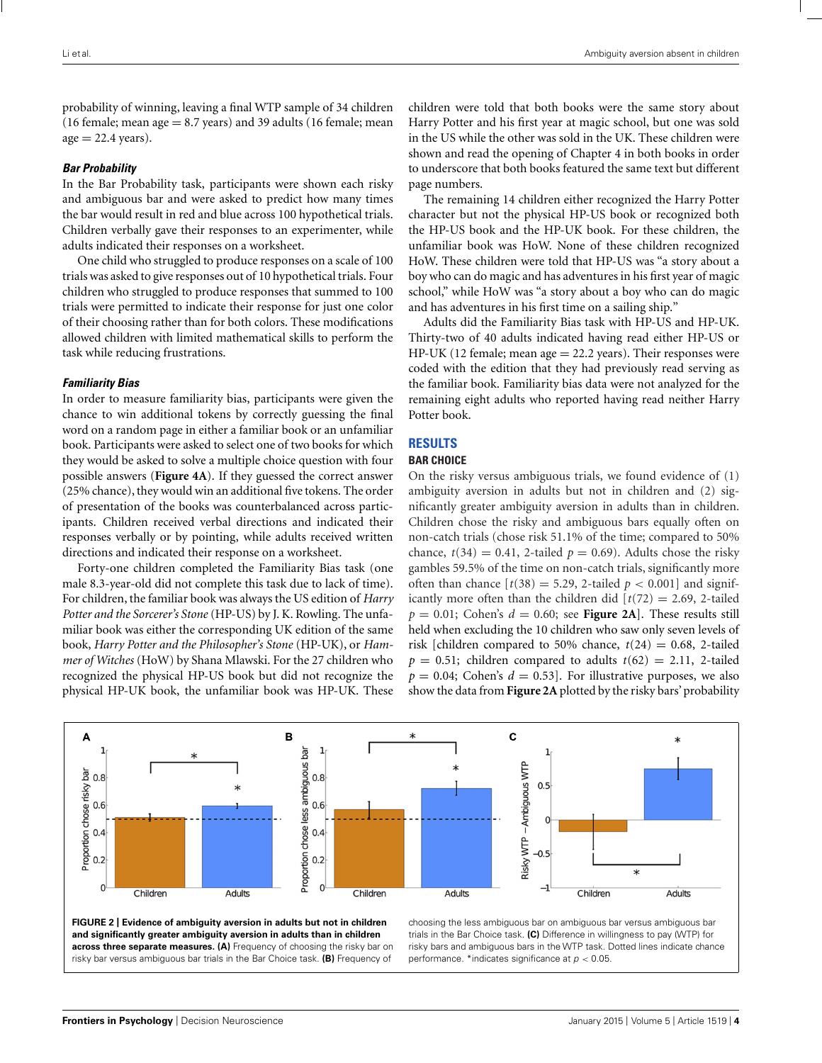<span id="page-3-0"></span>probability of winning, leaving a final WTP sample of 34 children (16 female; mean age  $= 8.7$  years) and 39 adults (16 female; mean  $age = 22.4 \text{ years}.$ 

#### *Bar Probability*

In the Bar Probability task, participants were shown each risky and ambiguous bar and were asked to predict how many times the bar would result in red and blue across 100 hypothetical trials. Children verbally gave their responses to an experimenter, while adults indicated their responses on a worksheet.

One child who struggled to produce responses on a scale of 100 trials was asked to give responses out of 10 hypothetical trials. Four children who struggled to produce responses that summed to 100 trials were permitted to indicate their response for just one color of their choosing rather than for both colors. These modifications allowed children with limited mathematical skills to perform the task while reducing frustrations.

#### *Familiarity Bias*

In order to measure familiarity bias, participants were given the chance to win additional tokens by correctly guessing the final word on a random page in either a familiar book or an unfamiliar book. Participants were asked to select one of two books for which they would be asked to solve a multiple choice question with four possible answers (**[Figure 4A](#page-5-0)**). If they guessed the correct answer (25% chance), they would win an additional five tokens. The order of presentation of the books was counterbalanced across participants. Children received verbal directions and indicated their responses verbally or by pointing, while adults received written directions and indicated their response on a worksheet.

Forty-one children completed the Familiarity Bias task (one male 8.3-year-old did not complete this task due to lack of time). For children, the familiar book was always the US edition of *Harry Potter and the Sorcerer's Stone* (HP-US) by J. K. Rowling. The unfamiliar book was either the corresponding UK edition of the same book, *Harry Potter and the Philosopher's Stone* (HP-UK), or *Hammer of Witches* (HoW) by Shana Mlawski. For the 27 children who recognized the physical HP-US book but did not recognize the physical HP-UK book, the unfamiliar book was HP-UK. These children were told that both books were the same story about Harry Potter and his first year at magic school, but one was sold in the US while the other was sold in the UK. These children were shown and read the opening of Chapter 4 in both books in order to underscore that both books featured the same text but different page numbers.

The remaining 14 children either recognized the Harry Potter character but not the physical HP-US book or recognized both the HP-US book and the HP-UK book. For these children, the unfamiliar book was HoW. None of these children recognized HoW. These children were told that HP-US was "a story about a boy who can do magic and has adventures in his first year of magic school," while HoW was "a story about a boy who can do magic and has adventures in his first time on a sailing ship."

Adults did the Familiarity Bias task with HP-US and HP-UK. Thirty-two of 40 adults indicated having read either HP-US or  $HP-UK$  (12 female; mean age  $= 22.2$  years). Their responses were coded with the edition that they had previously read serving as the familiar book. Familiarity bias data were not analyzed for the remaining eight adults who reported having read neither Harry Potter book.

# **RESULTS**

#### **BAR CHOICE**

On the risky versus ambiguous trials, we found evidence of (1) ambiguity aversion in adults but not in children and (2) significantly greater ambiguity aversion in adults than in children. Children chose the risky and ambiguous bars equally often on non-catch trials (chose risk 51.1% of the time; compared to 50% chance,  $t(34) = 0.41$ , 2-tailed  $p = 0.69$ ). Adults chose the risky gambles 59.5% of the time on non-catch trials, significantly more often than chance  $[t(38) = 5.29, 2$ -tailed  $p < 0.001$  and significantly more often than the children did  $[t(72) = 2.69, 2$ -tailed  $p = 0.01$ ; Cohen's  $d = 0.60$ ; see **Figure 2A**]. These results still held when excluding the 10 children who saw only seven levels of risk [children compared to 50% chance,  $t(24) = 0.68$ , 2-tailed  $p = 0.51$ ; children compared to adults  $t(62) = 2.11$ , 2-tailed  $p = 0.04$ ; Cohen's  $d = 0.53$ . For illustrative purposes, we also show the data from **Figure 2A** plotted by the risky bars' probability



**FIGURE 2 | Evidence of ambiguity aversion in adults but not in children and significantly greater ambiguity aversion in adults than in children across three separate measures. (A)** Frequency of choosing the risky bar on risky bar versus ambiguous bar trials in the Bar Choice task. **(B)** Frequency of

choosing the less ambiguous bar on ambiguous bar versus ambiguous bar trials in the Bar Choice task. **(C)** Difference in willingness to pay (WTP) for risky bars and ambiguous bars in the WTP task. Dotted lines indicate chance performance. \*indicates significance at  $p < 0.05$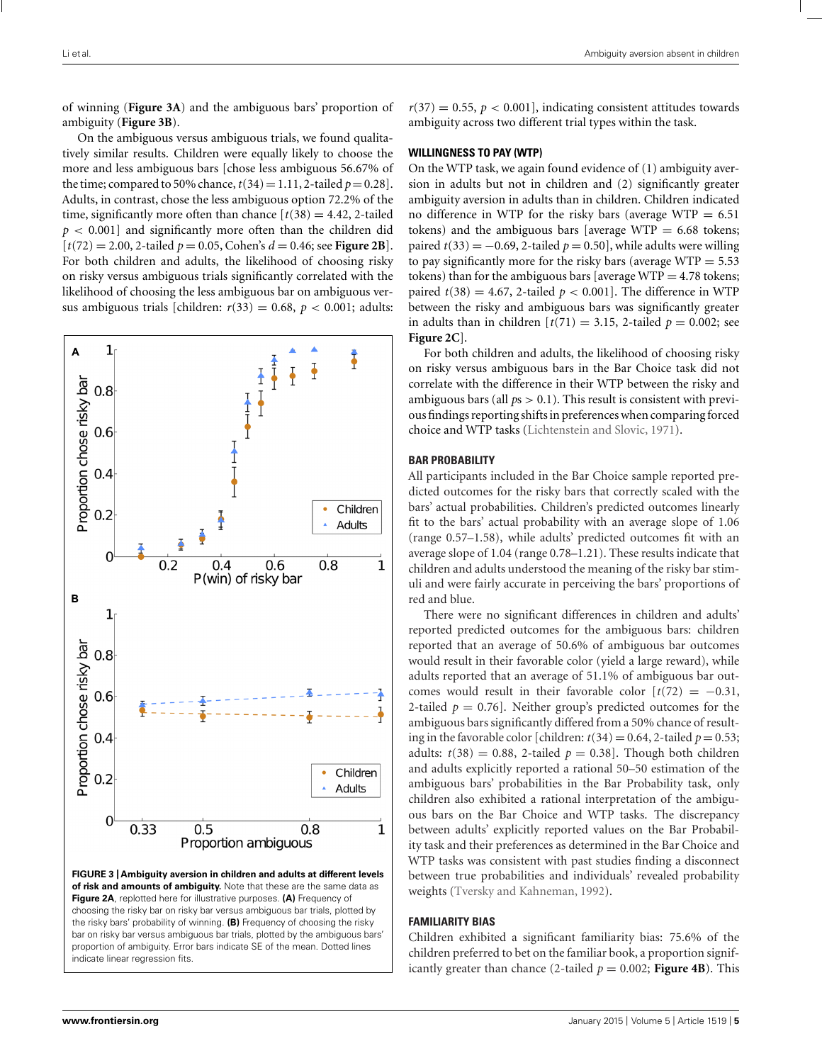of winning (**Figure 3A**) and the ambiguous bars' proportion of ambiguity (**Figure 3B**).

On the ambiguous versus ambiguous trials, we found qualitatively similar results. Children were equally likely to choose the more and less ambiguous bars [chose less ambiguous 56.67% of the time; compared to 50% chance,  $t(34) = 1.11$ , 2-tailed  $p = 0.28$ ]. Adults, in contrast, chose the less ambiguous option 72.2% of the time, significantly more often than chance  $[t(38) = 4.42, 2$ -tailed  $p < 0.001$ ] and significantly more often than the children did  $[t(72) = 2.00, 2$ -tailed  $p = 0.05$ , Cohen's  $d = 0.46$ ; see **[Figure 2B](#page-3-0)**]. For both children and adults, the likelihood of choosing risky on risky versus ambiguous trials significantly correlated with the likelihood of choosing the less ambiguous bar on ambiguous versus ambiguous trials [children:  $r(33) = 0.68$ ,  $p < 0.001$ ; adults:



bar on risky bar versus ambiguous bar trials, plotted by the ambiguous bars' proportion of ambiguity. Error bars indicate SE of the mean. Dotted lines

 $r(37) = 0.55$ ,  $p < 0.001$ ], indicating consistent attitudes towards ambiguity across two different trial types within the task.

# **WILLINGNESS TO PAY (WTP)**

On the WTP task, we again found evidence of (1) ambiguity aversion in adults but not in children and (2) significantly greater ambiguity aversion in adults than in children. Children indicated no difference in WTP for the risky bars (average WTP  $= 6.51$ ) tokens) and the ambiguous bars [average WTP  $= 6.68$  tokens; paired  $t(33) = -0.69$ , 2-tailed  $p = 0.50$ , while adults were willing to pay significantly more for the risky bars (average  $WTP = 5.53$ ) tokens) than for the ambiguous bars [average  $WTP = 4.78$  tokens; paired  $t(38) = 4.67$ , 2-tailed  $p < 0.001$ . The difference in WTP between the risky and ambiguous bars was significantly greater in adults than in children  $[t(71) = 3.15, 2$ -tailed  $p = 0.002$ ; see **[Figure 2C](#page-3-0)**].

For both children and adults, the likelihood of choosing risky on risky versus ambiguous bars in the Bar Choice task did not correlate with the difference in their WTP between the risky and ambiguous bars (all  $ps > 0.1$ ). This result is consistent with previous findings reporting shifts in preferences when comparingforced choice and WTP tasks [\(Lichtenstein and Slovic, 1971\)](#page-7-0).

#### **BAR PROBABILITY**

All participants included in the Bar Choice sample reported predicted outcomes for the risky bars that correctly scaled with the bars' actual probabilities. Children's predicted outcomes linearly fit to the bars' actual probability with an average slope of 1.06 (range 0.57–1.58), while adults' predicted outcomes fit with an average slope of 1.04 (range 0.78–1.21). These results indicate that children and adults understood the meaning of the risky bar stimuli and were fairly accurate in perceiving the bars' proportions of red and blue.

There were no significant differences in children and adults' reported predicted outcomes for the ambiguous bars: children reported that an average of 50.6% of ambiguous bar outcomes would result in their favorable color (yield a large reward), while adults reported that an average of 51.1% of ambiguous bar outcomes would result in their favorable color  $[t(72) = -0.31]$ , 2-tailed  $p = 0.76$ . Neither group's predicted outcomes for the ambiguous bars significantly differed from a 50% chance of resulting in the favorable color [children:  $t(34) = 0.64$ , 2-tailed  $p = 0.53$ ; adults:  $t(38) = 0.88$ , 2-tailed  $p = 0.38$ ]. Though both children and adults explicitly reported a rational 50–50 estimation of the ambiguous bars' probabilities in the Bar Probability task, only children also exhibited a rational interpretation of the ambiguous bars on the Bar Choice and WTP tasks. The discrepancy between adults' explicitly reported values on the Bar Probability task and their preferences as determined in the Bar Choice and WTP tasks was consistent with past studies finding a disconnect between true probabilities and individuals' revealed probability weights [\(Tversky and Kahneman](#page-7-0), [1992](#page-7-0)).

#### **FAMILIARITY BIAS**

Children exhibited a significant familiarity bias: 75.6% of the children preferred to bet on the familiar book, a proportion significantly greater than chance (2-tailed  $p = 0.002$ ; **[Figure 4B](#page-5-0)**). This

indicate linear regression fits.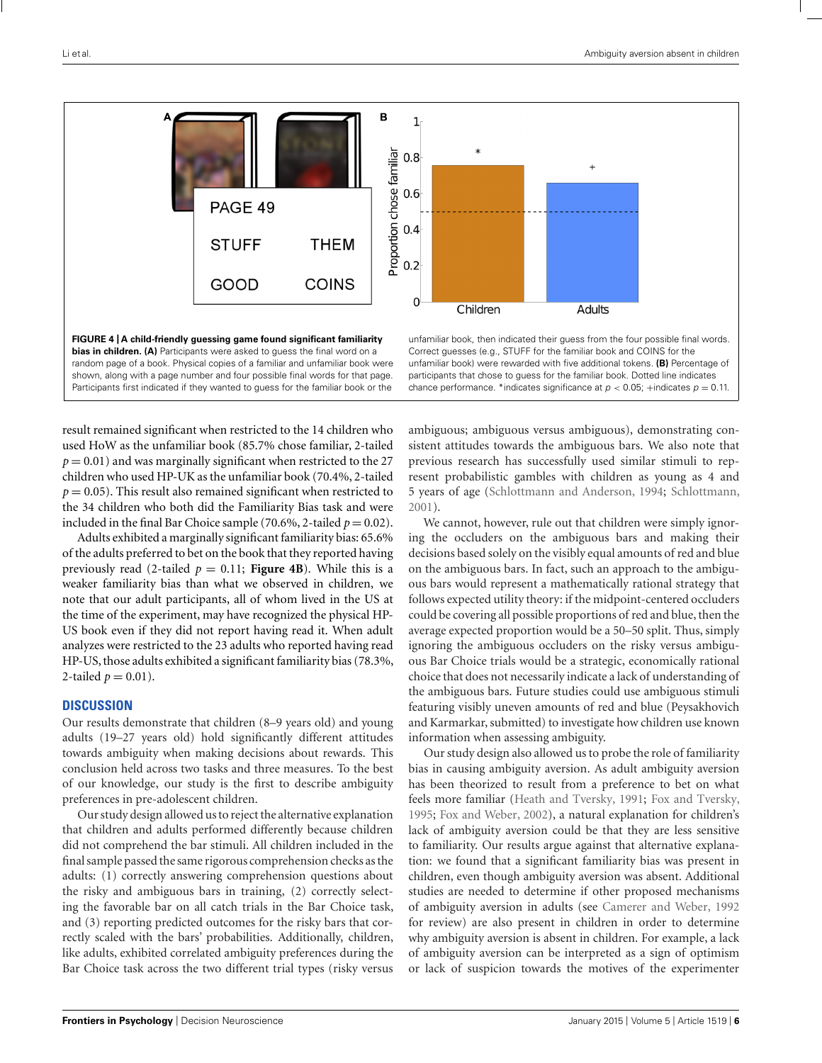<span id="page-5-0"></span>

**bias in children. (A)** Participants were asked to guess the final word on a random page of a book. Physical copies of a familiar and unfamiliar book were shown, along with a page number and four possible final words for that page. Participants first indicated if they wanted to guess for the familiar book or the

unfamiliar book, then indicated their guess from the four possible final words. Correct guesses (e.g., STUFF for the familiar book and COINS for the unfamiliar book) were rewarded with five additional tokens. **(B)** Percentage of participants that chose to guess for the familiar book. Dotted line indicates chance performance. \*indicates significance at  $p < 0.05$ ; +indicates  $p = 0.11$ .

result remained significant when restricted to the 14 children who used HoW as the unfamiliar book (85.7% chose familiar, 2-tailed  $p = 0.01$ ) and was marginally significant when restricted to the 27 children who used HP-UK as the unfamiliar book (70.4%, 2-tailed  $p = 0.05$ ). This result also remained significant when restricted to the 34 children who both did the Familiarity Bias task and were included in the final Bar Choice sample (70.6%, 2-tailed  $p = 0.02$ ).

Adults exhibited a marginally significant familiarity bias: 65.6% of the adults preferred to bet on the book that they reported having previously read (2-tailed  $p = 0.11$ ; **Figure 4B**). While this is a weaker familiarity bias than what we observed in children, we note that our adult participants, all of whom lived in the US at the time of the experiment, may have recognized the physical HP-US book even if they did not report having read it. When adult analyzes were restricted to the 23 adults who reported having read HP-US, those adults exhibited a significant familiarity bias (78.3%, 2-tailed  $p = 0.01$ ).

# **DISCUSSION**

Our results demonstrate that children (8–9 years old) and young adults (19–27 years old) hold significantly different attitudes towards ambiguity when making decisions about rewards. This conclusion held across two tasks and three measures. To the best of our knowledge, our study is the first to describe ambiguity preferences in pre-adolescent children.

Our study design allowed us to reject the alternative explanation that children and adults performed differently because children did not comprehend the bar stimuli. All children included in the final sample passed the same rigorous comprehension checks as the adults: (1) correctly answering comprehension questions about the risky and ambiguous bars in training, (2) correctly selecting the favorable bar on all catch trials in the Bar Choice task, and (3) reporting predicted outcomes for the risky bars that correctly scaled with the bars' probabilities. Additionally, children, like adults, exhibited correlated ambiguity preferences during the Bar Choice task across the two different trial types (risky versus ambiguous; ambiguous versus ambiguous), demonstrating consistent attitudes towards the ambiguous bars. We also note that previous research has successfully used similar stimuli to represent probabilistic gambles with children as young as 4 and 5 years of age [\(Schlottmann and Anderson, 1994](#page-7-0); [Schlottmann,](#page-7-0) [2001](#page-7-0)).

We cannot, however, rule out that children were simply ignoring the occluders on the ambiguous bars and making their decisions based solely on the visibly equal amounts of red and blue on the ambiguous bars. In fact, such an approach to the ambiguous bars would represent a mathematically rational strategy that follows expected utility theory: if the midpoint-centered occluders could be covering all possible proportions of red and blue, then the average expected proportion would be a 50–50 split. Thus, simply ignoring the ambiguous occluders on the risky versus ambiguous Bar Choice trials would be a strategic, economically rational choice that does not necessarily indicate a lack of understanding of the ambiguous bars. Future studies could use ambiguous stimuli featuring visibly uneven amounts of red and blue (Peysakhovich and Karmarkar, submitted) to investigate how children use known information when assessing ambiguity.

Our study design also allowed us to probe the role of familiarity bias in causing ambiguity aversion. As adult ambiguity aversion has been theorized to result from a preference to bet on what feels more familiar [\(Heath and Tversky](#page-6-0), [1991;](#page-6-0) [Fox and Tversky,](#page-6-0) [1995](#page-6-0); [Fox and Weber](#page-6-0), [2002](#page-6-0)), a natural explanation for children's lack of ambiguity aversion could be that they are less sensitive to familiarity. Our results argue against that alternative explanation: we found that a significant familiarity bias was present in children, even though ambiguity aversion was absent. Additional studies are needed to determine if other proposed mechanisms of ambiguity aversion in adults (see [Camerer and Weber](#page-6-0), [1992](#page-6-0) for review) are also present in children in order to determine why ambiguity aversion is absent in children. For example, a lack of ambiguity aversion can be interpreted as a sign of optimism or lack of suspicion towards the motives of the experimenter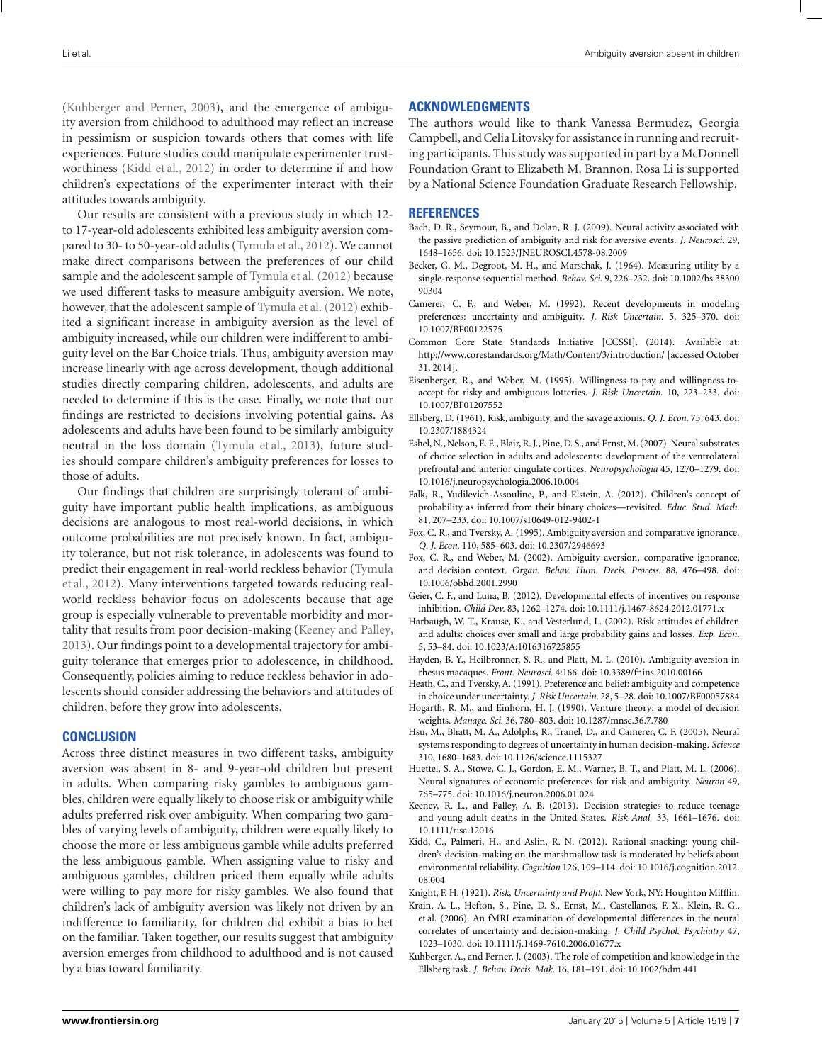<span id="page-6-0"></span>(Kuhberger and Perner, 2003), and the emergence of ambiguity aversion from childhood to adulthood may reflect an increase in pessimism or suspicion towards others that comes with life experiences. Future studies could manipulate experimenter trustworthiness (Kidd et al., 2012) in order to determine if and how children's expectations of the experimenter interact with their attitudes towards ambiguity.

Our results are consistent with a previous study in which 12 to 17-year-old adolescents exhibited less ambiguity aversion compared to 30- to 50-year-old adults [\(Tymula et al., 2012\)](#page-7-0). We cannot make direct comparisons between the preferences of our child sample and the adolescent sample of [Tymula et al.](#page-7-0) [\(2012\)](#page-7-0) because we used different tasks to measure ambiguity aversion. We note, however, that the adolescent sample of [Tymula et al.](#page-7-0) [\(2012](#page-7-0)) exhibited a significant increase in ambiguity aversion as the level of ambiguity increased, while our children were indifferent to ambiguity level on the Bar Choice trials. Thus, ambiguity aversion may increase linearly with age across development, though additional studies directly comparing children, adolescents, and adults are needed to determine if this is the case. Finally, we note that our findings are restricted to decisions involving potential gains. As adolescents and adults have been found to be similarly ambiguity neutral in the loss domain [\(Tymula et al., 2013](#page-7-0)), future studies should compare children's ambiguity preferences for losses to those of adults.

Our findings that children are surprisingly tolerant of ambiguity have important public health implications, as ambiguous decisions are analogous to most real-world decisions, in which outcome probabilities are not precisely known. In fact, ambiguity tolerance, but not risk tolerance, in adolescents was found to pred[ict](#page-7-0) [their](#page-7-0) [engagement](#page-7-0) [in](#page-7-0) [real-world](#page-7-0) [reckless](#page-7-0) [behavior](#page-7-0) [\(](#page-7-0)Tymula et al., [2012\)](#page-7-0). Many interventions targeted towards reducing realworld reckless behavior focus on adolescents because that age group is especially vulnerable to preventable morbidity and mortality that results from poor decision-making (Keeney and Palley, 2013). Our findings point to a developmental trajectory for ambiguity tolerance that emerges prior to adolescence, in childhood. Consequently, policies aiming to reduce reckless behavior in adolescents should consider addressing the behaviors and attitudes of children, before they grow into adolescents.

#### **CONCLUSION**

Across three distinct measures in two different tasks, ambiguity aversion was absent in 8- and 9-year-old children but present in adults. When comparing risky gambles to ambiguous gambles, children were equally likely to choose risk or ambiguity while adults preferred risk over ambiguity. When comparing two gambles of varying levels of ambiguity, children were equally likely to choose the more or less ambiguous gamble while adults preferred the less ambiguous gamble. When assigning value to risky and ambiguous gambles, children priced them equally while adults were willing to pay more for risky gambles. We also found that children's lack of ambiguity aversion was likely not driven by an indifference to familiarity, for children did exhibit a bias to bet on the familiar. Taken together, our results suggest that ambiguity aversion emerges from childhood to adulthood and is not caused by a bias toward familiarity.

## **ACKNOWLEDGMENTS**

The authors would like to thank Vanessa Bermudez, Georgia Campbell, and Celia Litovsky for assistance in running and recruiting participants. This study was supported in part by a McDonnell Foundation Grant to Elizabeth M. Brannon. Rosa Li is supported by a National Science Foundation Graduate Research Fellowship.

#### **REFERENCES**

- Bach, D. R., Seymour, B., and Dolan, R. J. (2009). Neural activity associated with the passive prediction of ambiguity and risk for aversive events. *J. Neurosci.* 29, 1648–1656. doi: 10.1523/JNEUROSCI.4578-08.2009
- Becker, G. M., Degroot, M. H., and Marschak, J. (1964). Measuring utility by a single-response sequential method. *Behav. Sci.* 9, 226–232. doi: 10.1002/bs.38300 90304
- Camerer, C. F., and Weber, M. (1992). Recent developments in modeling preferences: uncertainty and ambiguity. *J. Risk Uncertain.* 5, 325–370. doi: 10.1007/BF00122575
- Common Core State Standards Initiative [CCSSI]. (2014). Available at: <http://www.corestandards.org/Math/Content/3/introduction/> [accessed October 31, 2014].
- Eisenberger, R., and Weber, M. (1995). Willingness-to-pay and willingness-toaccept for risky and ambiguous lotteries. *J. Risk Uncertain.* 10, 223–233. doi: 10.1007/BF01207552
- Ellsberg, D. (1961). Risk, ambiguity, and the savage axioms. *Q. J. Econ.* 75, 643. doi: 10.2307/1884324
- Eshel, N., Nelson, E. E., Blair, R. J., Pine, D. S., and Ernst,M. (2007). Neural substrates of choice selection in adults and adolescents: development of the ventrolateral prefrontal and anterior cingulate cortices. *Neuropsychologia* 45, 1270–1279. doi: 10.1016/j.neuropsychologia.2006.10.004
- Falk, R., Yudilevich-Assouline, P., and Elstein, A. (2012). Children's concept of probability as inferred from their binary choices—revisited. *Educ. Stud. Math*. 81, 207–233. doi: 10.1007/s10649-012-9402-1
- Fox, C. R., and Tversky, A. (1995). Ambiguity aversion and comparative ignorance. *Q. J. Econ.* 110, 585–603. doi: 10.2307/2946693
- Fox, C. R., and Weber, M. (2002). Ambiguity aversion, comparative ignorance, and decision context. *Organ. Behav. Hum. Decis. Process.* 88, 476–498. doi: 10.1006/obhd.2001.2990
- Geier, C. F., and Luna, B. (2012). Developmental effects of incentives on response inhibition. *Child Dev.* 83, 1262–1274. doi: 10.1111/j.1467-8624.2012.01771.x
- Harbaugh, W. T., Krause, K., and Vesterlund, L. (2002). Risk attitudes of children and adults: choices over small and large probability gains and losses. *Exp. Econ.* 5, 53–84. doi: 10.1023/A:1016316725855
- Hayden, B. Y., Heilbronner, S. R., and Platt, M. L. (2010). Ambiguity aversion in rhesus macaques. *Front. Neurosci.* 4:166. doi: 10.3389/fnins.2010.00166
- Heath, C., and Tversky, A. (1991). Preference and belief: ambiguity and competence in choice under uncertainty. *J. Risk Uncertain.* 28, 5–28. doi: 10.1007/BF00057884
- Hogarth, R. M., and Einhorn, H. J. (1990). Venture theory: a model of decision weights. *Manage. Sci.* 36, 780–803. doi: 10.1287/mnsc.36.7.780
- Hsu, M., Bhatt, M. A., Adolphs, R., Tranel, D., and Camerer, C. F. (2005). Neural systems responding to degrees of uncertainty in human decision-making. *Science* 310, 1680–1683. doi: 10.1126/science.1115327
- Huettel, S. A., Stowe, C. J., Gordon, E. M., Warner, B. T., and Platt, M. L. (2006). Neural signatures of economic preferences for risk and ambiguity. *Neuron* 49, 765–775. doi: 10.1016/j.neuron.2006.01.024
- Keeney, R. L., and Palley, A. B. (2013). Decision strategies to reduce teenage and young adult deaths in the United States. *Risk Anal.* 33, 1661–1676. doi: 10.1111/risa.12016
- Kidd, C., Palmeri, H., and Aslin, R. N. (2012). Rational snacking: young children's decision-making on the marshmallow task is moderated by beliefs about environmental reliability. *Cognition* 126, 109–114. doi: 10.1016/j.cognition.2012. 08.004
- Knight, F. H. (1921). *Risk, Uncertainty and Profit*. New York, NY: Houghton Mifflin.
- Krain, A. L., Hefton, S., Pine, D. S., Ernst, M., Castellanos, F. X., Klein, R. G., et al. (2006). An fMRI examination of developmental differences in the neural correlates of uncertainty and decision-making. *J. Child Psychol. Psychiatry* 47, 1023–1030. doi: 10.1111/j.1469-7610.2006.01677.x
- Kuhberger, A., and Perner, J. (2003). The role of competition and knowledge in the Ellsberg task. *J. Behav. Decis. Mak.* 16, 181–191. doi: 10.1002/bdm.441